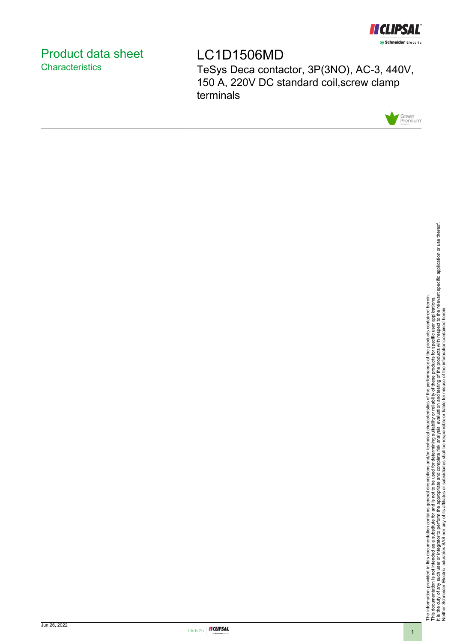

# <span id="page-0-0"></span>Product data sheet **Characteristics**

LC1D1506MD

TeSys Deca contactor, 3P(3NO), AC-3, 440V, 150 A, 220V DC standard coil,screw clamp terminals



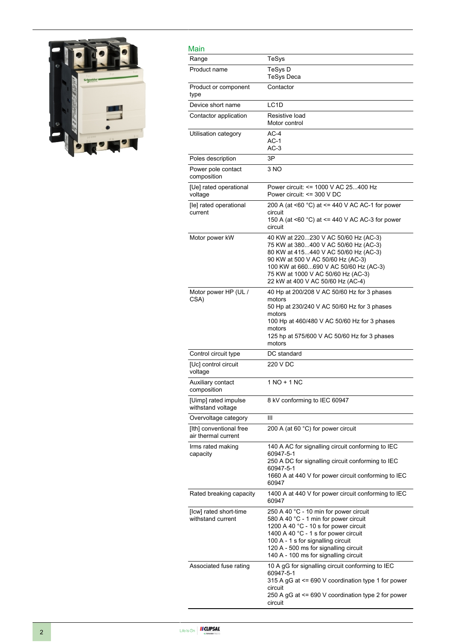

| Main                                           |                                                                                                                                                                                                                                                                                          |
|------------------------------------------------|------------------------------------------------------------------------------------------------------------------------------------------------------------------------------------------------------------------------------------------------------------------------------------------|
| Range                                          | TeSys                                                                                                                                                                                                                                                                                    |
| Product name                                   | TeSys D<br>TeSys Deca                                                                                                                                                                                                                                                                    |
| Product or component<br>type                   | Contactor                                                                                                                                                                                                                                                                                |
| Device short name                              | LC <sub>1</sub> D                                                                                                                                                                                                                                                                        |
| Contactor application                          | Resistive load<br>Motor control                                                                                                                                                                                                                                                          |
| Utilisation category                           | $AC-4$<br>$AC-1$<br>AC-3                                                                                                                                                                                                                                                                 |
| Poles description                              | 3P                                                                                                                                                                                                                                                                                       |
| Power pole contact<br>composition              | 3 NO                                                                                                                                                                                                                                                                                     |
| [Ue] rated operational<br>voltage              | Power circuit: <= 1000 V AC 25400 Hz<br>Power circuit: <= 300 V DC                                                                                                                                                                                                                       |
| [le] rated operational<br>current              | 200 A (at <60 $^{\circ}$ C) at <= 440 V AC AC-1 for power<br>circuit<br>150 A (at $\leq 60$ °C) at $\leq$ 440 V AC AC-3 for power<br>circuit                                                                                                                                             |
| Motor power kW                                 | 40 KW at 220230 V AC 50/60 Hz (AC-3)<br>75 KW at 380400 V AC 50/60 Hz (AC-3)<br>80 KW at 415440 V AC 50/60 Hz (AC-3)<br>90 KW at 500 V AC 50/60 Hz (AC-3)<br>100 KW at 660690 V AC 50/60 Hz (AC-3)<br>75 KW at 1000 V AC 50/60 Hz (AC-3)<br>22 kW at 400 V AC 50/60 Hz (AC-4)            |
| Motor power HP (UL /<br>CSA)                   | 40 Hp at 200/208 V AC 50/60 Hz for 3 phases<br>motors<br>50 Hp at 230/240 V AC 50/60 Hz for 3 phases<br>motors<br>100 Hp at 460/480 V AC 50/60 Hz for 3 phases<br>motors<br>125 hp at 575/600 V AC 50/60 Hz for 3 phases<br>motors                                                       |
| Control circuit type                           | DC standard                                                                                                                                                                                                                                                                              |
| [Uc] control circuit<br>voltage                | 220 V DC                                                                                                                                                                                                                                                                                 |
| Auxiliary contact<br>composition               | 1 NO + 1 NC                                                                                                                                                                                                                                                                              |
| [Uimp] rated impulse<br>withstand voltage      | 8 kV conforming to IEC 60947                                                                                                                                                                                                                                                             |
| Overvoltage category                           | Ш                                                                                                                                                                                                                                                                                        |
| [Ith] conventional free<br>air thermal current | 200 A (at 60 °C) for power circuit                                                                                                                                                                                                                                                       |
| Irms rated making<br>capacity                  | 140 A AC for signalling circuit conforming to IEC<br>60947-5-1<br>250 A DC for signalling circuit conforming to IEC<br>60947-5-1<br>1660 A at 440 V for power circuit conforming to IEC<br>60947                                                                                         |
| Rated breaking capacity                        | 1400 A at 440 V for power circuit conforming to IEC<br>60947                                                                                                                                                                                                                             |
| [Icw] rated short-time<br>withstand current    | 250 A 40 °C - 10 min for power circuit<br>580 A 40 °C - 1 min for power circuit<br>1200 A 40 °C - 10 s for power circuit<br>1400 A 40 °C - 1 s for power circuit<br>100 A - 1 s for signalling circuit<br>120 A - 500 ms for signalling circuit<br>140 A - 100 ms for signalling circuit |
| Associated fuse rating                         | 10 A gG for signalling circuit conforming to IEC<br>60947-5-1<br>315 A gG at <= 690 V coordination type 1 for power<br>circuit<br>250 A gG at <= 690 V coordination type 2 for power<br>circuit                                                                                          |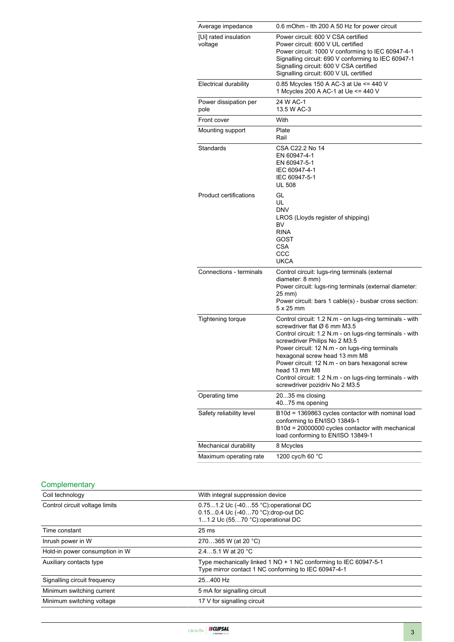| Average impedance                | 0.6 mOhm - Ith 200 A 50 Hz for power circuit                                                                                                                                                                                                                                                                                                                                                                                               |
|----------------------------------|--------------------------------------------------------------------------------------------------------------------------------------------------------------------------------------------------------------------------------------------------------------------------------------------------------------------------------------------------------------------------------------------------------------------------------------------|
| [Ui] rated insulation<br>voltage | Power circuit: 600 V CSA certified<br>Power circuit: 600 V UL certified<br>Power circuit: 1000 V conforming to IEC 60947-4-1<br>Signalling circuit: 690 V conforming to IEC 60947-1<br>Signalling circuit: 600 V CSA certified<br>Signalling circuit: 600 V UL certified                                                                                                                                                                   |
| Electrical durability            | 0.85 Mcycles 150 A AC-3 at Ue <= 440 V<br>1 Mcycles 200 A AC-1 at Ue <= 440 V                                                                                                                                                                                                                                                                                                                                                              |
| Power dissipation per<br>pole    | 24 W AC-1<br>13.5 W AC-3                                                                                                                                                                                                                                                                                                                                                                                                                   |
| Front cover                      | With                                                                                                                                                                                                                                                                                                                                                                                                                                       |
| Mounting support                 | Plate<br>Rail                                                                                                                                                                                                                                                                                                                                                                                                                              |
| Standards                        | CSA C22.2 No 14<br>EN 60947-4-1<br>EN 60947-5-1<br>IEC 60947-4-1<br>IEC 60947-5-1<br><b>UL 508</b>                                                                                                                                                                                                                                                                                                                                         |
| <b>Product certifications</b>    | GL<br>UL<br><b>DNV</b><br>LROS (Lloyds register of shipping)<br>BV<br><b>RINA</b><br>GOST<br>CSA<br>CCC<br><b>UKCA</b>                                                                                                                                                                                                                                                                                                                     |
| Connections - terminals          | Control circuit: lugs-ring terminals (external<br>diameter: 8 mm)<br>Power circuit: lugs-ring terminals (external diameter:<br>25 mm)<br>Power circuit: bars 1 cable(s) - busbar cross section:<br>$5 \times 25$ mm                                                                                                                                                                                                                        |
| <b>Tightening torque</b>         | Control circuit: 1.2 N.m - on lugs-ring terminals - with<br>screwdriver flat Ø 6 mm M3.5<br>Control circuit: 1.2 N.m - on lugs-ring terminals - with<br>screwdriver Philips No 2 M3.5<br>Power circuit: 12 N.m - on lugs-ring terminals<br>hexagonal screw head 13 mm M8<br>Power circuit: 12 N.m - on bars hexagonal screw<br>head 13 mm M8<br>Control circuit: 1.2 N.m - on lugs-ring terminals - with<br>screwdriver pozidriv No 2 M3.5 |
| Operating time                   | 2035 ms closing<br>4075 ms opening                                                                                                                                                                                                                                                                                                                                                                                                         |
| Safety reliability level         | B10d = 1369863 cycles contactor with nominal load<br>conforming to EN/ISO 13849-1<br>B10d = 20000000 cycles contactor with mechanical<br>load conforming to EN/ISO 13849-1                                                                                                                                                                                                                                                                 |
| Mechanical durability            | 8 Mcycles                                                                                                                                                                                                                                                                                                                                                                                                                                  |
| Maximum operating rate           | 1200 cyc/h 60 °C                                                                                                                                                                                                                                                                                                                                                                                                                           |

### **Complementary**

| With integral suppression device                                                                                         |
|--------------------------------------------------------------------------------------------------------------------------|
| 0.751.2 Uc (-4055 °C): operational DC<br>0.150.4 Uc (-4070 °C): drop-out DC<br>11.2 Uc (5570 °C): operational DC         |
| 25 <sub>ms</sub>                                                                                                         |
| 270365 W (at 20 °C)                                                                                                      |
| 2.45.1 W at 20 °C                                                                                                        |
| Type mechanically linked 1 NO + 1 NC conforming to IEC 60947-5-1<br>Type mirror contact 1 NC conforming to IEC 60947-4-1 |
| 25.400 Hz                                                                                                                |
| 5 mA for signalling circuit                                                                                              |
| 17 V for signalling circuit                                                                                              |
|                                                                                                                          |